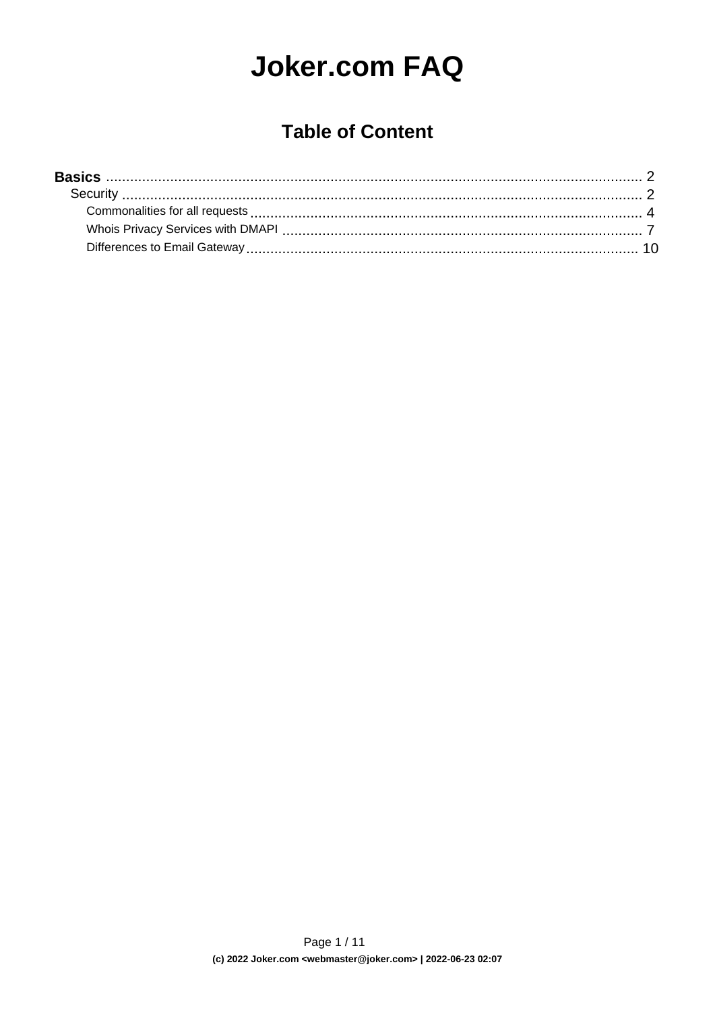# **Joker.com FAQ**

#### **Table of Content**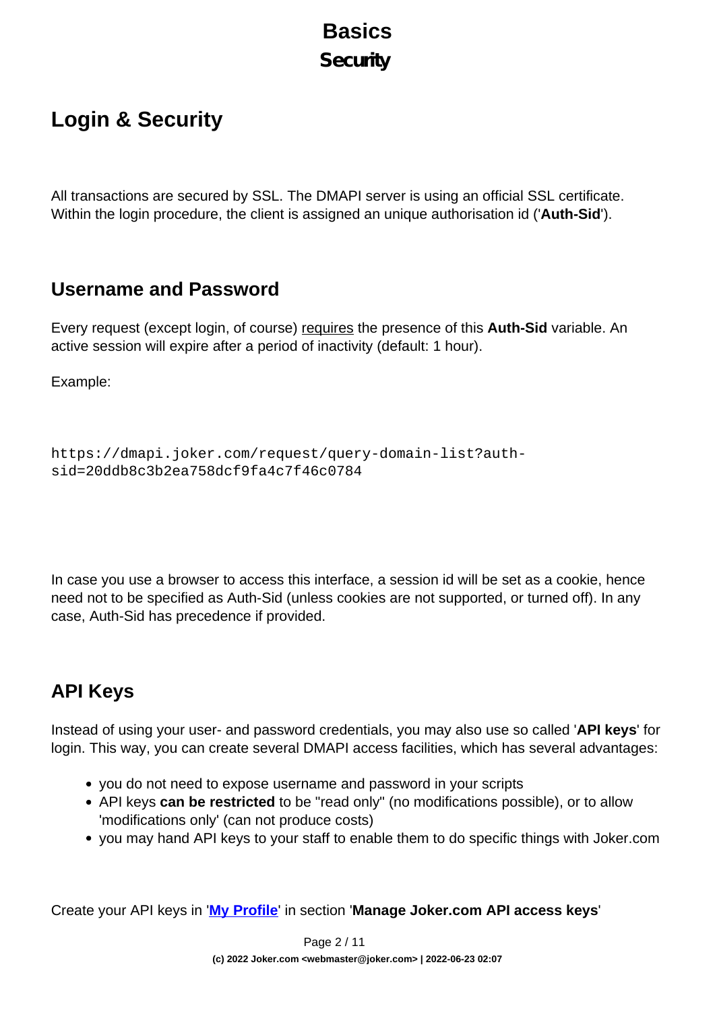### **Basics Security**

## <span id="page-1-0"></span>**Login & Security**

All transactions are secured by SSL. The DMAPI server is using an official SSL certificate. Within the login procedure, the client is assigned an unique authorisation id ('**Auth-Sid**').

#### **Username and Password**

Every request (except login, of course) requires the presence of this **Auth-Sid** variable. An active session will expire after a period of inactivity (default: 1 hour).

Example:

```
https://dmapi.joker.com/request/query-domain-list?auth-
sid=20ddb8c3b2ea758dcf9fa4c7f46c0784
```
In case you use a browser to access this interface, a session id will be set as a cookie, hence need not to be specified as Auth-Sid (unless cookies are not supported, or turned off). In any case, Auth-Sid has precedence if provided.

#### **API Keys**

Instead of using your user- and password credentials, you may also use so called '**API keys**' for login. This way, you can create several DMAPI access facilities, which has several advantages:

- you do not need to expose username and password in your scripts
- API keys **can be restricted** to be "read only" (no modifications possible), or to allow 'modifications only' (can not produce costs)
- you may hand API keys to your staff to enable them to do specific things with Joker.com

Create your API keys in '**[My Profile](/goto/myjoker)**' in section '**Manage Joker.com API access keys**'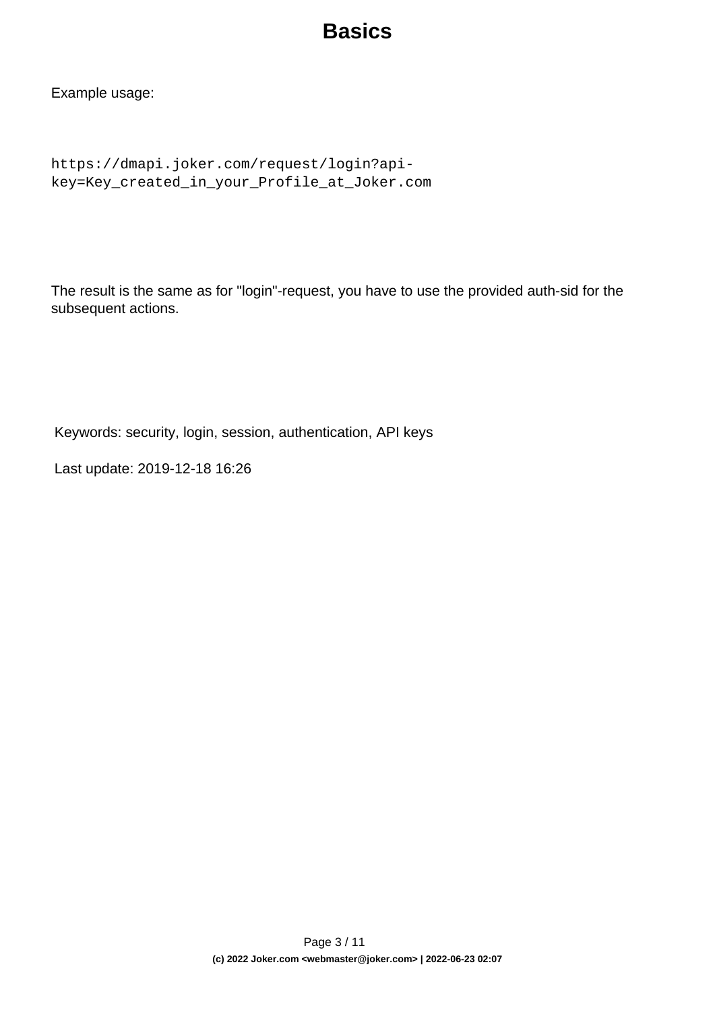Example usage:

```
https://dmapi.joker.com/request/login?api-
key=Key_created_in_your_Profile_at_Joker.com
```
The result is the same as for "login"-request, you have to use the provided auth-sid for the subsequent actions.

Keywords: security, login, session, authentication, API keys

Last update: 2019-12-18 16:26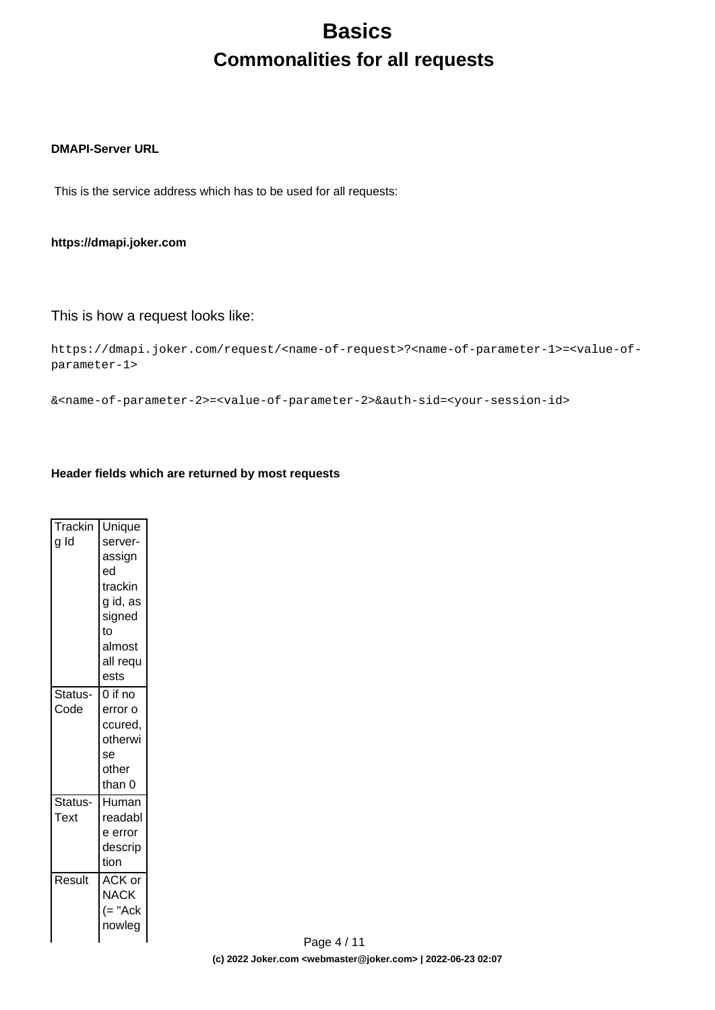## **Basics Commonalities for all requests**

#### <span id="page-3-0"></span>**DMAPI-Server URL**

This is the service address which has to be used for all requests:

#### **https://dmapi.joker.com**

#### This is how a request looks like:

```
https://dmapi.joker.com/request/<name-of-request>?<name-of-parameter-1>=<value-of-
parameter-1>
```
&<name-of-parameter-2>=<value-of-parameter-2>&auth-sid=<your-session-id>

#### **Header fields which are returned by most requests**

| Trackin<br>g Id | Unique<br>server-<br>assign<br>ed<br>trackin<br>g id, as<br>signed<br>to |
|-----------------|--------------------------------------------------------------------------|
|                 | almost<br>all requ<br>ests                                               |
| Status-<br>Code | $0$ if no<br>error o<br>ccured,<br>otherwi<br>se<br>other<br>than 0      |
| Status-<br>Text | Human<br>readabl<br>e error<br>descrip<br>tion                           |
| Result          | ACK or<br>NACK<br>$(= "Ack$<br>nowleg                                    |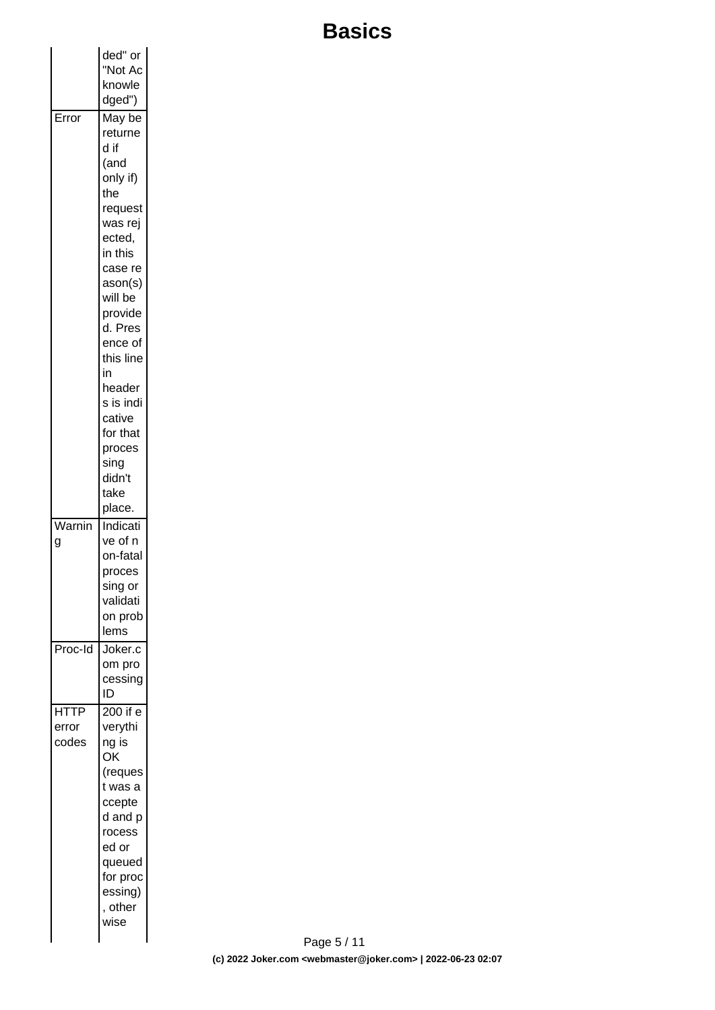|             | ded" or           |  |
|-------------|-------------------|--|
|             | "Not Ac           |  |
|             | knowle            |  |
|             | dged")            |  |
| Error       | May be            |  |
|             | returne           |  |
|             | d if              |  |
|             | (and              |  |
|             | only if)          |  |
|             | the               |  |
|             | request           |  |
|             | was rej           |  |
|             | ected,            |  |
|             | in this           |  |
|             | case re           |  |
|             | ason(s)           |  |
|             | will be           |  |
|             | provide           |  |
|             | d. Pres           |  |
|             | ence of           |  |
|             | this line<br>in   |  |
|             | header            |  |
|             | s is indi         |  |
|             | cative            |  |
|             | for that          |  |
|             | proces            |  |
|             | sing              |  |
|             | didn't            |  |
|             | take              |  |
|             | place.            |  |
| Warnin      | Indicati          |  |
| g           | ve of n           |  |
|             | on-fatal          |  |
|             | proces            |  |
|             | sing or           |  |
|             | validati          |  |
|             | on prob           |  |
|             | lems              |  |
| Proc-Id     | Joker.c           |  |
|             | om pro<br>cessing |  |
|             | ID                |  |
| <b>HTTP</b> | 200 if e          |  |
| error       | verythi           |  |
| codes       | ng is             |  |
|             | ΟK                |  |
|             | (reques           |  |
|             | t was a           |  |
|             | ccepte            |  |
|             | d and p           |  |
|             | rocess            |  |
|             | ed or             |  |
|             | queued            |  |
|             | for proc          |  |
|             | essing)           |  |
|             | , other           |  |
|             | wise              |  |
|             |                   |  |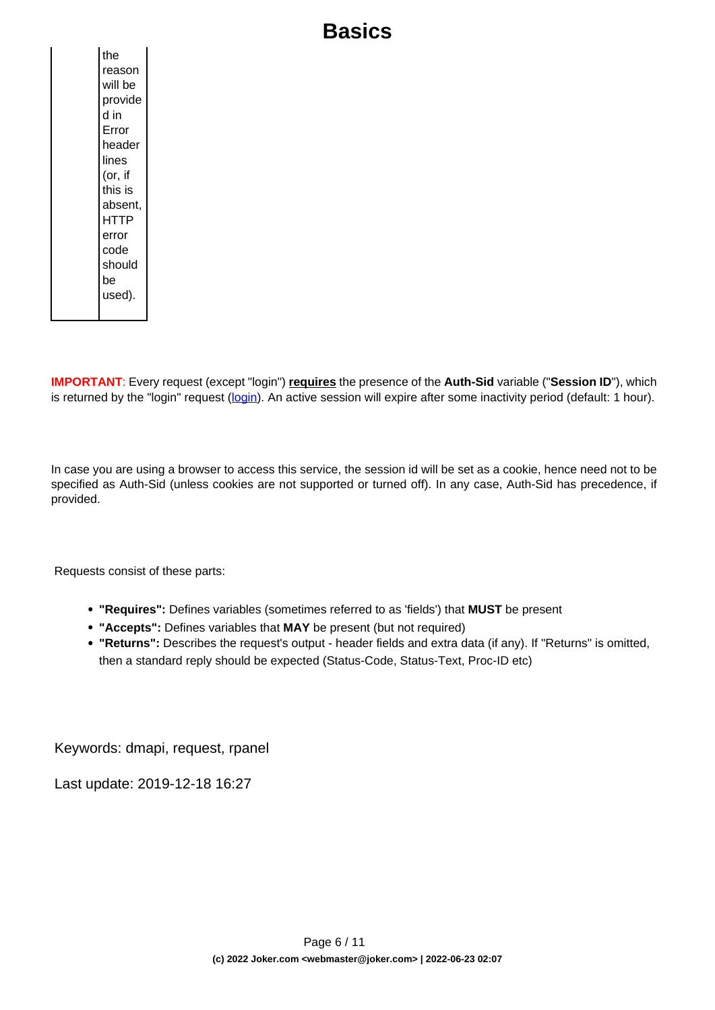**IMPORTANT**: Every request (except "login") **requires** the presence of the **Auth-Sid** variable ("**Session ID**"), which is returned by the "login" request [\(login](index.php?action=artikel&cat=26&id=14&artlang=en)). An active session will expire after some inactivity period (default: 1 hour).

In case you are using a browser to access this service, the session id will be set as a cookie, hence need not to be specified as Auth-Sid (unless cookies are not supported or turned off). In any case, Auth-Sid has precedence, if provided.

Requests consist of these parts:

- **"Requires":** Defines variables (sometimes referred to as 'fields') that **MUST** be present
- **"Accepts":** Defines variables that **MAY** be present (but not required)
- **"Returns":** Describes the request's output header fields and extra data (if any). If "Returns" is omitted, then a standard reply should be expected (Status-Code, Status-Text, Proc-ID etc)

Keywords: dmapi, request, rpanel

Last update: 2019-12-18 16:27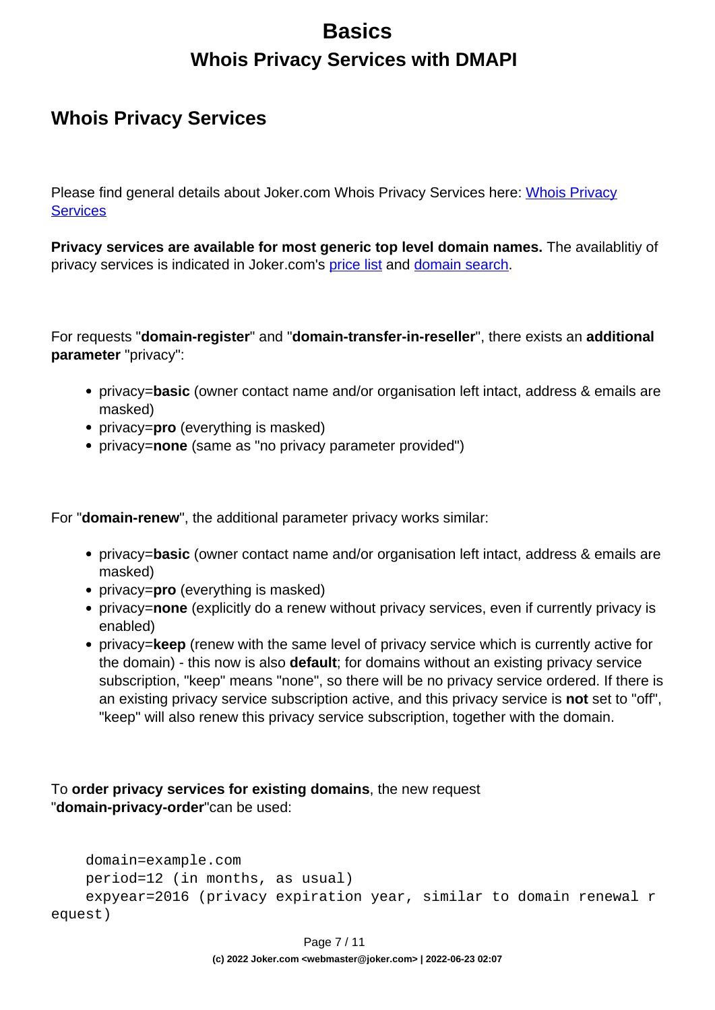## **Basics Whois Privacy Services with DMAPI**

#### <span id="page-6-0"></span>**Whois Privacy Services**

Please find general details about Joker.com [Whois Privacy](index.php?action=artikel&cat=5&id=476&artlang=en) Services here: Whois Privacy **[Services](index.php?action=artikel&cat=5&id=476&artlang=en)** 

**Privacy services are available for most generic top level domain names.** The availablitiy of privacy services is indicated in Joker.com's [price list](https://joker.com/goto/prices) and [domain search.](https://joker.com/goto/order)

For requests "**domain-register**" and "**domain-transfer-in-reseller**", there exists an **additional parameter** "privacy":

- privacy=**basic** (owner contact name and/or organisation left intact, address & emails are masked)
- privacy=**pro** (everything is masked)
- privacy=**none** (same as "no privacy parameter provided")

For "**domain-renew**", the additional parameter privacy works similar:

- privacy=**basic** (owner contact name and/or organisation left intact, address & emails are masked)
- privacy=**pro** (everything is masked)
- privacy=**none** (explicitly do a renew without privacy services, even if currently privacy is enabled)
- privacy=**keep** (renew with the same level of privacy service which is currently active for the domain) - this now is also **default**; for domains without an existing privacy service subscription, "keep" means "none", so there will be no privacy service ordered. If there is an existing privacy service subscription active, and this privacy service is **not** set to "off", "keep" will also renew this privacy service subscription, together with the domain.

To **order privacy services for existing domains**, the new request "**domain-privacy-order**"can be used:

```
 domain=example.com
    period=12 (in months, as usual)
     expyear=2016 (privacy expiration year, similar to domain renewal r
equest)
```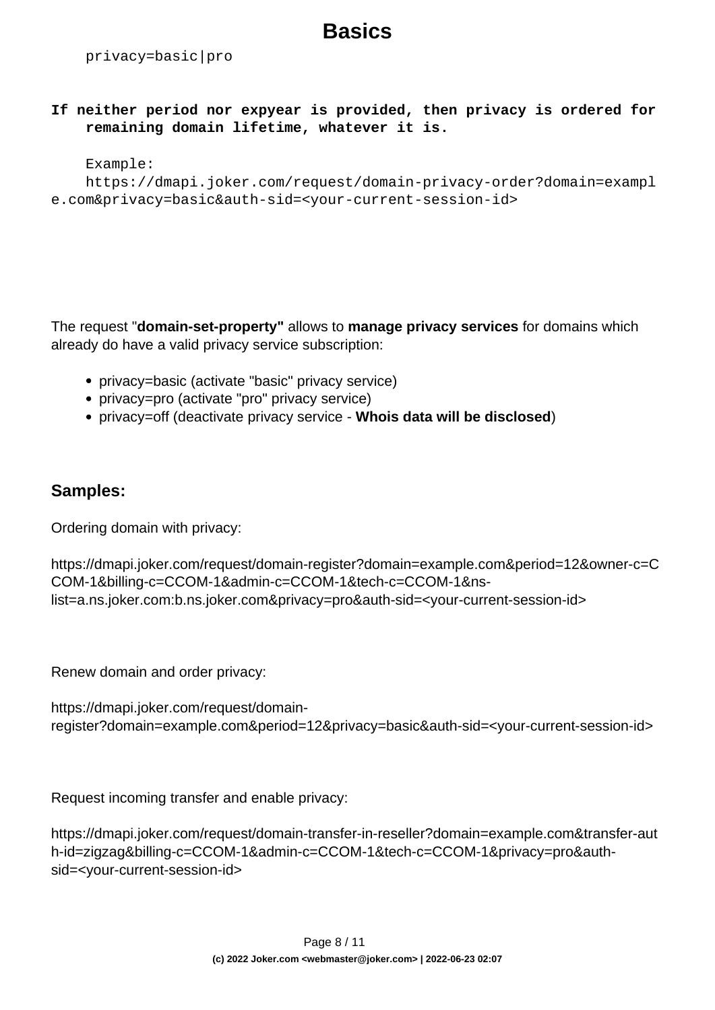privacy=basic|pro

**If neither period nor expyear is provided, then privacy is ordered for remaining domain lifetime, whatever it is.**

#### Example:

```
 https://dmapi.joker.com/request/domain-privacy-order?domain=exampl
e.com&privacy=basic&auth-sid=<your-current-session-id>
```
The request "**domain-set-property"** allows to **manage privacy services** for domains which already do have a valid privacy service subscription:

- privacy=basic (activate "basic" privacy service)
- privacy=pro (activate "pro" privacy service)
- privacy=off (deactivate privacy service **Whois data will be disclosed**)

#### **Samples:**

Ordering domain with privacy:

```
https://dmapi.joker.com/request/domain-register?domain=example.com&period=12&owner-c=C
COM-1&billing-c=CCOM-1&admin-c=CCOM-1&tech-c=CCOM-1&ns-
list=a.ns.joker.com:b.ns.joker.com&privacy=pro&auth-sid=<your-current-session-id>
```
Renew domain and order privacy:

```
https://dmapi.joker.com/request/domain-
register?domain=example.com&period=12&privacy=basic&auth-sid=<your-current-session-id>
```
Request incoming transfer and enable privacy:

https://dmapi.joker.com/request/domain-transfer-in-reseller?domain=example.com&transfer-aut h-id=zigzag&billing-c=CCOM-1&admin-c=CCOM-1&tech-c=CCOM-1&privacy=pro&authsid=<your-current-session-id>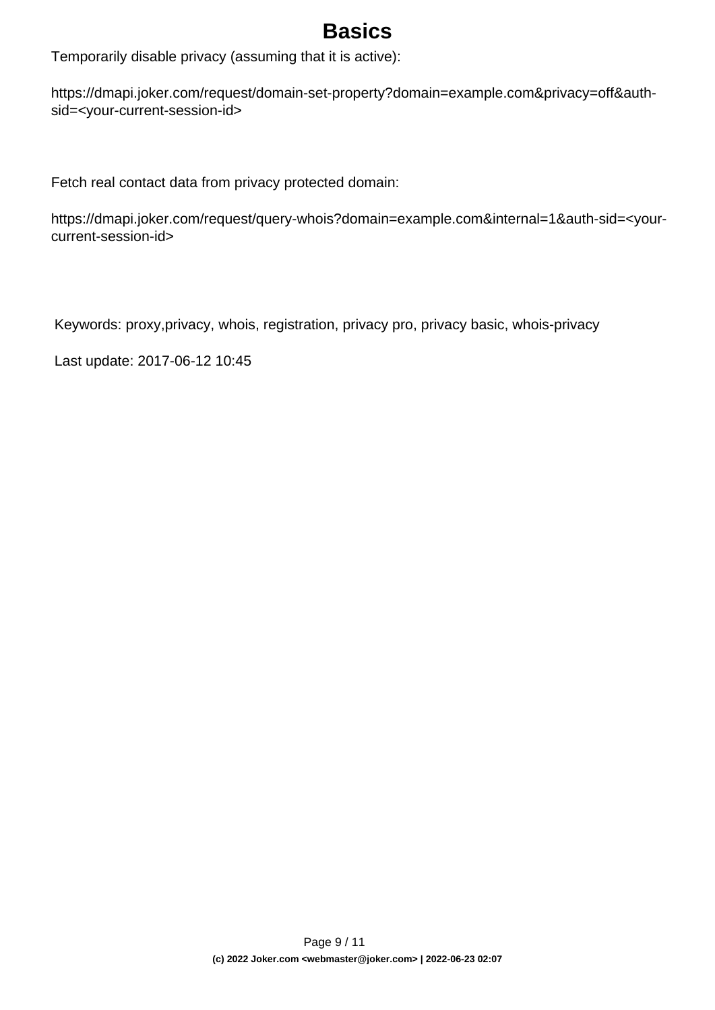Temporarily disable privacy (assuming that it is active):

https://dmapi.joker.com/request/domain-set-property?domain=example.com&privacy=off&authsid=<your-current-session-id>

Fetch real contact data from privacy protected domain:

https://dmapi.joker.com/request/query-whois?domain=example.com&internal=1&auth-sid=<yourcurrent-session-id>

Keywords: proxy,privacy, whois, registration, privacy pro, privacy basic, whois-privacy

Last update: 2017-06-12 10:45